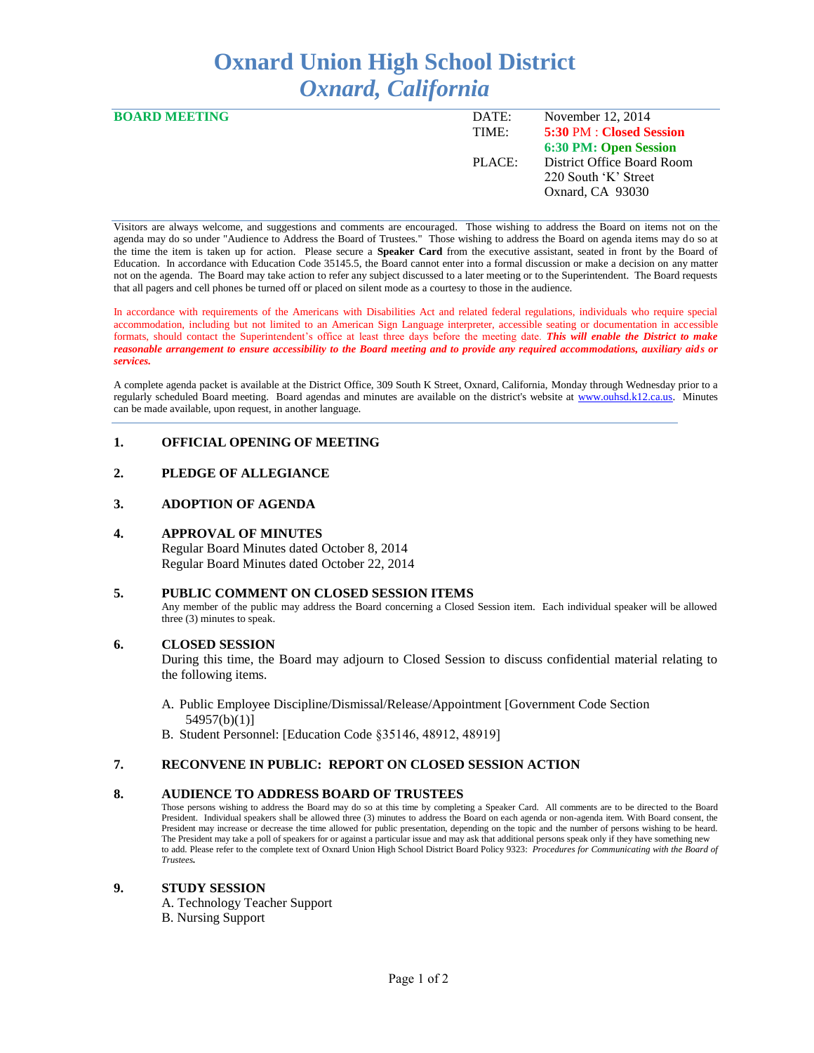# **Oxnard Union High School District** *Oxnard, California*

| <b>BOARD MEETING</b> | DATE:  | November 12, 2014          |
|----------------------|--------|----------------------------|
|                      | TIME:  | 5:30 PM : Closed Session   |
|                      |        | 6:30 PM: Open Session      |
|                      | PLACE: | District Office Board Room |
|                      |        | 220 South 'K' Street       |
|                      |        | Oxnard, CA 93030           |
|                      |        |                            |

Visitors are always welcome, and suggestions and comments are encouraged. Those wishing to address the Board on items not on the agenda may do so under "Audience to Address the Board of Trustees." Those wishing to address the Board on agenda items may do so at the time the item is taken up for action. Please secure a **Speaker Card** from the executive assistant, seated in front by the Board of Education. In accordance with Education Code 35145.5, the Board cannot enter into a formal discussion or make a decision on any matter not on the agenda. The Board may take action to refer any subject discussed to a later meeting or to the Superintendent. The Board requests that all pagers and cell phones be turned off or placed on silent mode as a courtesy to those in the audience.

In accordance with requirements of the Americans with Disabilities Act and related federal regulations, individuals who require special accommodation, including but not limited to an American Sign Language interpreter, accessible seating or documentation in accessible formats, should contact the Superintendent's office at least three days before the meeting date. *This will enable the District to make reasonable arrangement to ensure accessibility to the Board meeting and to provide any required accommodations, auxiliary aids or services.* 

A complete agenda packet is available at the District Office, 309 South K Street, Oxnard, California, Monday through Wednesday prior to a regularly scheduled Board meeting. Board agendas and minutes are available on the district's website at [www.ouhsd.k12.ca.us.](http://www.ouhsd.k12.ca.us/)Minutes can be made available, upon request, in another language.

# **1. OFFICIAL OPENING OF MEETING**

# **2. PLEDGE OF ALLEGIANCE**

# **3. ADOPTION OF AGENDA**

#### **4. APPROVAL OF MINUTES**

Regular Board Minutes dated October 8, 2014 Regular Board Minutes dated October 22, 2014

#### **5. PUBLIC COMMENT ON CLOSED SESSION ITEMS**

Any member of the public may address the Board concerning a Closed Session item. Each individual speaker will be allowed three (3) minutes to speak.

#### **6. CLOSED SESSION**

During this time, the Board may adjourn to Closed Session to discuss confidential material relating to the following items.

A. Public Employee Discipline/Dismissal/Release/Appointment [Government Code Section 54957(b)(1)]

B. Student Personnel: [Education Code §35146, 48912, 48919]

# **7. RECONVENE IN PUBLIC: REPORT ON CLOSED SESSION ACTION**

#### **8. AUDIENCE TO ADDRESS BOARD OF TRUSTEES**

Those persons wishing to address the Board may do so at this time by completing a Speaker Card. All comments are to be directed to the Board President. Individual speakers shall be allowed three (3) minutes to address the Board on each agenda or non-agenda item. With Board consent, the President may increase or decrease the time allowed for public presentation, depending on the topic and the number of persons wishing to be heard. The President may take a poll of speakers for or against a particular issue and may ask that additional persons speak only if they have something new to add. Please refer to the complete text of Oxnard Union High School District Board Policy 9323: *Procedures for Communicating with the Board of Trustees.*

#### **9. STUDY SESSION**

A. Technology Teacher Support B. Nursing Support